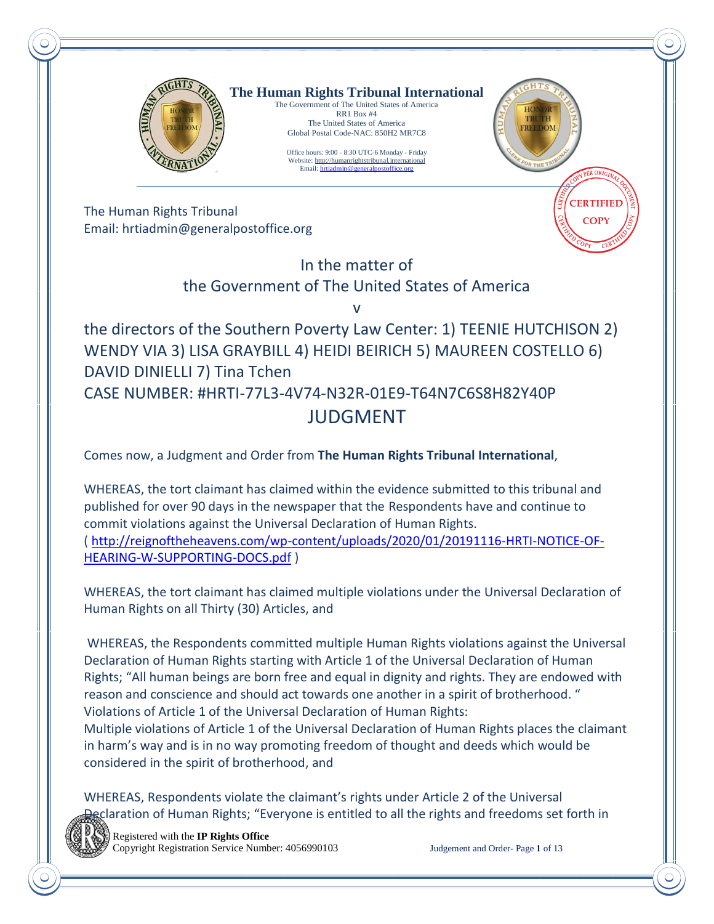

**The Human Rights Tribunal International** The Government of The United States of America

RR1 Box #4 The United States of America Global Postal Code-NAC: 850H2 MR7C8

Office hours: 9:00 - 8:30 UTC-6 Monday - Friday Website[: http://humanrightstribunal.international](http://humanrightstribunal.international/) Email[: hrtiadmin@generalpostoffice.org](mailto:hrtiadmin@generalpostoffice.org)



**CERTIFIEL COPY** 

The Human Rights Tribunal Email: hrtiadmin@generalpostoffice.org

## In the matter of

### the Government of The United States of America

v

## the directors of the Southern Poverty Law Center: 1) TEENIE HUTCHISON 2) WENDY VIA 3) LISA GRAYBILL 4) HEIDI BEIRICH 5) MAUREEN COSTELLO 6) DAVID DINIELLI 7) Tina Tchen CASE NUMBER: #HRTI-77L3-4V74-N32R-01E9-T64N7C6S8H82Y40P JUDGMENT

Comes now, a Judgment and Order from **The Human Rights Tribunal International**,

WHEREAS, the tort claimant has claimed within the evidence submitted to this tribunal and published for over 90 days in the newspaper that the Respondents have and continue to commit violations against the Universal Declaration of Human Rights. ( [http://reignoftheheavens.com/wp-content/uploads/2020/01/20191116-HRTI-NOTICE-OF-](http://reignoftheheavens.com/wp-content/uploads/2020/01/20191116-HRTI-NOTICE-OF-HEARING-W-SUPPORTING-DOCS.pdf)[HEARING-W-SUPPORTING-DOCS.pdf](http://reignoftheheavens.com/wp-content/uploads/2020/01/20191116-HRTI-NOTICE-OF-HEARING-W-SUPPORTING-DOCS.pdf) )

WHEREAS, the tort claimant has claimed multiple violations under the Universal Declaration of Human Rights on all Thirty (30) Articles, and

WHEREAS, the Respondents committed multiple Human Rights violations against the Universal Declaration of Human Rights starting with Article 1 of the Universal Declaration of Human Rights; "All human beings are born free and equal in dignity and rights. They are endowed with reason and conscience and should act towards one another in a spirit of brotherhood. " Violations of Article 1 of the Universal Declaration of Human Rights:

Multiple violations of Article 1 of the Universal Declaration of Human Rights places the claimant in harm's way and is in no way promoting freedom of thought and deeds which would be considered in the spirit of brotherhood, and

WHEREAS, Respondents violate the claimant's rights under Article 2 of the Universal claration of Human Rights; "Everyone is entitled to all the rights and freedoms set forth in



 Registered with the **IP Rights Office** Copyright Registration Service Number: 4056990103 Judgement and Order- Page **1** of 13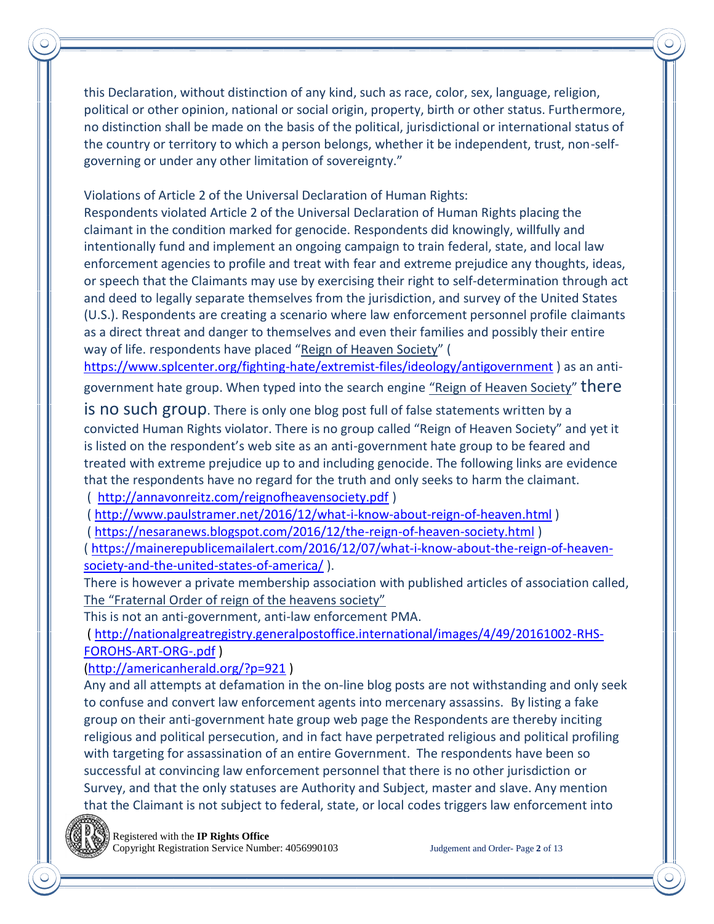this Declaration, without distinction of any kind, such as race, color, sex, language, religion, political or other opinion, national or social origin, property, birth or other status. Furthermore, no distinction shall be made on the basis of the political, jurisdictional or international status of the country or territory to which a person belongs, whether it be independent, trust, non-selfgoverning or under any other limitation of sovereignty."

Violations of Article 2 of the Universal Declaration of Human Rights:

Respondents violated Article 2 of the Universal Declaration of Human Rights placing the claimant in the condition marked for genocide. Respondents did knowingly, willfully and intentionally fund and implement an ongoing campaign to train federal, state, and local law enforcement agencies to profile and treat with fear and extreme prejudice any thoughts, ideas, or speech that the Claimants may use by exercising their right to self-determination through act and deed to legally separate themselves from the jurisdiction, and survey of the United States (U.S.). Respondents are creating a scenario where law enforcement personnel profile claimants as a direct threat and danger to themselves and even their families and possibly their entire way of life. respondents have placed "Reign of Heaven Society" (

<https://www.splcenter.org/fighting-hate/extremist-files/ideology/antigovernment> ) as an antigovernment hate group. When typed into the search engine "Reign of Heaven Society" there

is no such group. There is only one blog post full of false statements written by a convicted Human Rights violator. There is no group called "Reign of Heaven Society" and yet it is listed on the respondent's web site as an anti-government hate group to be feared and treated with extreme prejudice up to and including genocide. The following links are evidence that the respondents have no regard for the truth and only seeks to harm the claimant. ( <http://annavonreitz.com/reignofheavensociety.pdf> )

(<http://www.paulstramer.net/2016/12/what-i-know-about-reign-of-heaven.html> )

( <https://nesaranews.blogspot.com/2016/12/the-reign-of-heaven-society.html> )

( [https://mainerepublicemailalert.com/2016/12/07/what-i-know-about-the-reign-of-heaven](https://mainerepublicemailalert.com/2016/12/07/what-i-know-about-the-reign-of-heaven-society-and-the-united-states-of-america/)[society-and-the-united-states-of-america/](https://mainerepublicemailalert.com/2016/12/07/what-i-know-about-the-reign-of-heaven-society-and-the-united-states-of-america/) ).

There is however a private membership association with published articles of association called, The "Fraternal Order of reign of the heavens society"

This is not an anti-government, anti-law enforcement PMA.

( [http://nationalgreatregistry.generalpostoffice.international/images/4/49/20161002-RHS-](http://nationalgreatregistry.generalpostoffice.international/images/4/49/20161002-RHS-FOROHS-ART-ORG-.pdf)[FOROHS-ART-ORG-.pdf](http://nationalgreatregistry.generalpostoffice.international/images/4/49/20161002-RHS-FOROHS-ART-ORG-.pdf) )

[\(http://americanherald.org/?p=921](http://americanherald.org/?p=921) )

Any and all attempts at defamation in the on-line blog posts are not withstanding and only seek to confuse and convert law enforcement agents into mercenary assassins. By listing a fake group on their anti-government hate group web page the Respondents are thereby inciting religious and political persecution, and in fact have perpetrated religious and political profiling with targeting for assassination of an entire Government. The respondents have been so successful at convincing law enforcement personnel that there is no other jurisdiction or Survey, and that the only statuses are Authority and Subject, master and slave. Any mention that the Claimant is not subject to federal, state, or local codes triggers law enforcement into



Registered with the **IP Rights Office**

Copyright Registration Service Number: 4056990103 Judgement and Order- Page **2** of 13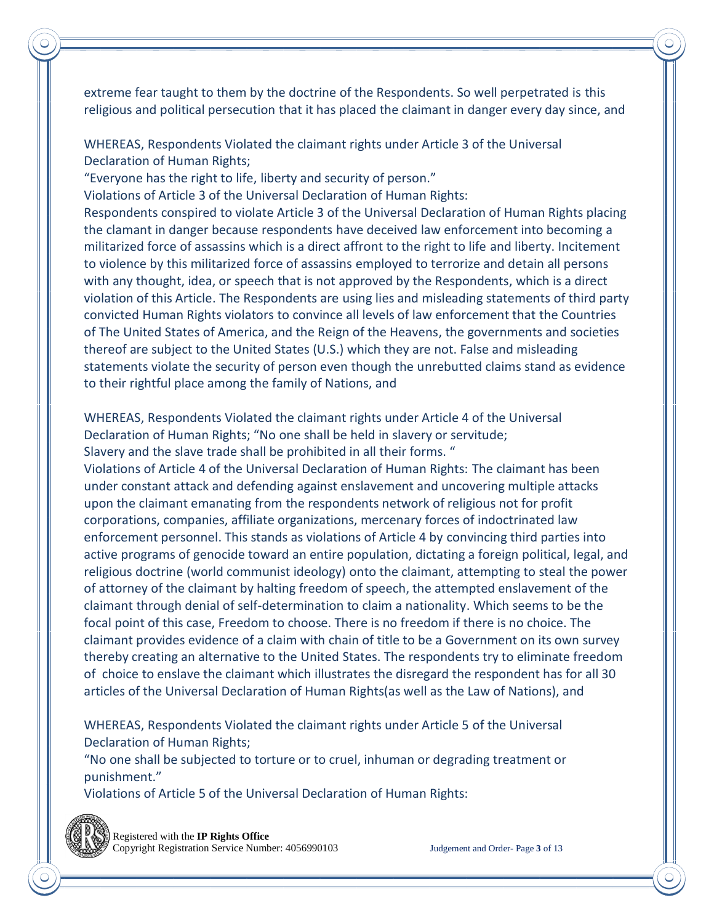extreme fear taught to them by the doctrine of the Respondents. So well perpetrated is this religious and political persecution that it has placed the claimant in danger every day since, and

WHEREAS, Respondents Violated the claimant rights under Article 3 of the Universal Declaration of Human Rights;

"Everyone has the right to life, liberty and security of person."

Violations of Article 3 of the Universal Declaration of Human Rights:

Respondents conspired to violate Article 3 of the Universal Declaration of Human Rights placing the clamant in danger because respondents have deceived law enforcement into becoming a militarized force of assassins which is a direct affront to the right to life and liberty. Incitement to violence by this militarized force of assassins employed to terrorize and detain all persons with any thought, idea, or speech that is not approved by the Respondents, which is a direct violation of this Article. The Respondents are using lies and misleading statements of third party convicted Human Rights violators to convince all levels of law enforcement that the Countries of The United States of America, and the Reign of the Heavens, the governments and societies thereof are subject to the United States (U.S.) which they are not. False and misleading statements violate the security of person even though the unrebutted claims stand as evidence to their rightful place among the family of Nations, and

WHEREAS, Respondents Violated the claimant rights under Article 4 of the Universal Declaration of Human Rights; "No one shall be held in slavery or servitude; Slavery and the slave trade shall be prohibited in all their forms. "

Violations of Article 4 of the Universal Declaration of Human Rights: The claimant has been under constant attack and defending against enslavement and uncovering multiple attacks upon the claimant emanating from the respondents network of religious not for profit corporations, companies, affiliate organizations, mercenary forces of indoctrinated law enforcement personnel. This stands as violations of Article 4 by convincing third parties into active programs of genocide toward an entire population, dictating a foreign political, legal, and religious doctrine (world communist ideology) onto the claimant, attempting to steal the power of attorney of the claimant by halting freedom of speech, the attempted enslavement of the claimant through denial of self-determination to claim a nationality. Which seems to be the focal point of this case, Freedom to choose. There is no freedom if there is no choice. The claimant provides evidence of a claim with chain of title to be a Government on its own survey thereby creating an alternative to the United States. The respondents try to eliminate freedom of choice to enslave the claimant which illustrates the disregard the respondent has for all 30 articles of the Universal Declaration of Human Rights(as well as the Law of Nations), and

WHEREAS, Respondents Violated the claimant rights under Article 5 of the Universal Declaration of Human Rights;

"No one shall be subjected to torture or to cruel, inhuman or degrading treatment or punishment."

Violations of Article 5 of the Universal Declaration of Human Rights:



 Registered with the **IP Rights Office** Copyright Registration Service Number: 4056990103 Judgement and Order- Page **3** of 13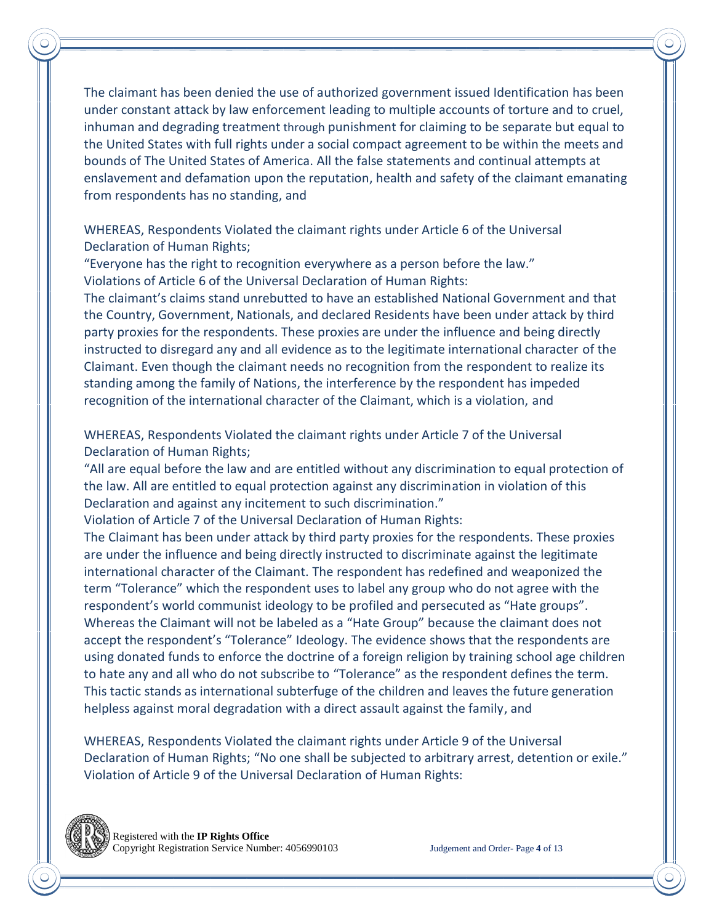The claimant has been denied the use of authorized government issued Identification has been under constant attack by law enforcement leading to multiple accounts of torture and to cruel, inhuman and degrading treatment through punishment for claiming to be separate but equal to the United States with full rights under a social compact agreement to be within the meets and bounds of The United States of America. All the false statements and continual attempts at enslavement and defamation upon the reputation, health and safety of the claimant emanating from respondents has no standing, and

WHEREAS, Respondents Violated the claimant rights under Article 6 of the Universal Declaration of Human Rights;

"Everyone has the right to recognition everywhere as a person before the law." Violations of Article 6 of the Universal Declaration of Human Rights:

The claimant's claims stand unrebutted to have an established National Government and that the Country, Government, Nationals, and declared Residents have been under attack by third party proxies for the respondents. These proxies are under the influence and being directly instructed to disregard any and all evidence as to the legitimate international character of the Claimant. Even though the claimant needs no recognition from the respondent to realize its standing among the family of Nations, the interference by the respondent has impeded recognition of the international character of the Claimant, which is a violation, and

WHEREAS, Respondents Violated the claimant rights under Article 7 of the Universal Declaration of Human Rights;

"All are equal before the law and are entitled without any discrimination to equal protection of the law. All are entitled to equal protection against any discrimination in violation of this Declaration and against any incitement to such discrimination."

Violation of Article 7 of the Universal Declaration of Human Rights:

The Claimant has been under attack by third party proxies for the respondents. These proxies are under the influence and being directly instructed to discriminate against the legitimate international character of the Claimant. The respondent has redefined and weaponized the term "Tolerance" which the respondent uses to label any group who do not agree with the respondent's world communist ideology to be profiled and persecuted as "Hate groups". Whereas the Claimant will not be labeled as a "Hate Group" because the claimant does not accept the respondent's "Tolerance" Ideology. The evidence shows that the respondents are using donated funds to enforce the doctrine of a foreign religion by training school age children to hate any and all who do not subscribe to "Tolerance" as the respondent defines the term. This tactic stands as international subterfuge of the children and leaves the future generation helpless against moral degradation with a direct assault against the family, and

WHEREAS, Respondents Violated the claimant rights under Article 9 of the Universal Declaration of Human Rights; "No one shall be subjected to arbitrary arrest, detention or exile." Violation of Article 9 of the Universal Declaration of Human Rights:

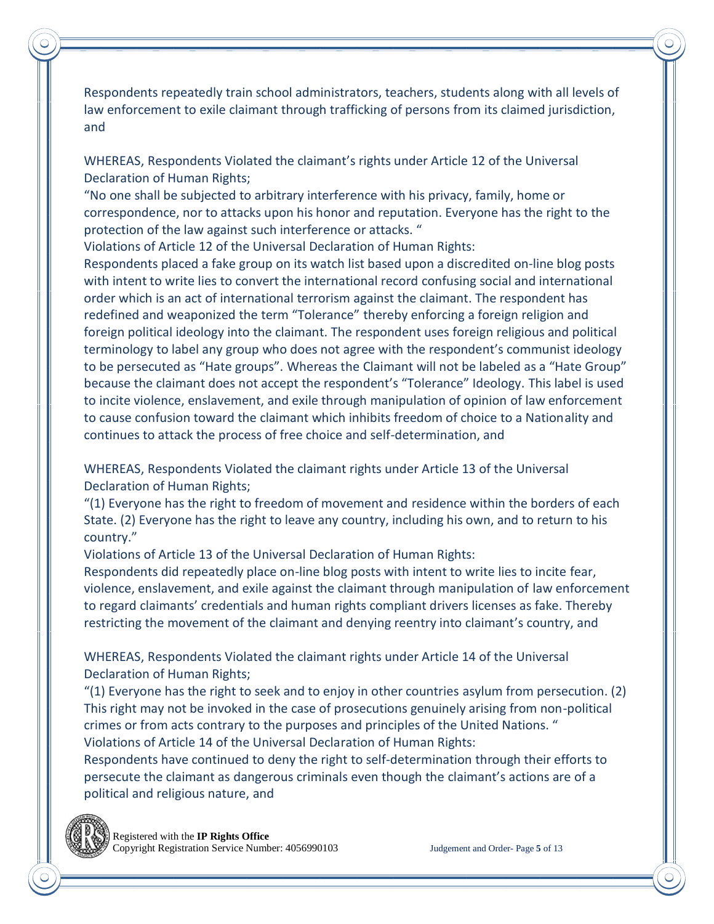Respondents repeatedly train school administrators, teachers, students along with all levels of law enforcement to exile claimant through trafficking of persons from its claimed jurisdiction, and

WHEREAS, Respondents Violated the claimant's rights under Article 12 of the Universal Declaration of Human Rights;

"No one shall be subjected to arbitrary interference with his privacy, family, home or correspondence, nor to attacks upon his honor and reputation. Everyone has the right to the protection of the law against such interference or attacks. "

Violations of Article 12 of the Universal Declaration of Human Rights:

Respondents placed a fake group on its watch list based upon a discredited on-line blog posts with intent to write lies to convert the international record confusing social and international order which is an act of international terrorism against the claimant. The respondent has redefined and weaponized the term "Tolerance" thereby enforcing a foreign religion and foreign political ideology into the claimant. The respondent uses foreign religious and political terminology to label any group who does not agree with the respondent's communist ideology to be persecuted as "Hate groups". Whereas the Claimant will not be labeled as a "Hate Group" because the claimant does not accept the respondent's "Tolerance" Ideology. This label is used to incite violence, enslavement, and exile through manipulation of opinion of law enforcement to cause confusion toward the claimant which inhibits freedom of choice to a Nationality and continues to attack the process of free choice and self-determination, and

WHEREAS, Respondents Violated the claimant rights under Article 13 of the Universal Declaration of Human Rights;

"(1) Everyone has the right to freedom of movement and residence within the borders of each State. (2) Everyone has the right to leave any country, including his own, and to return to his country."

Violations of Article 13 of the Universal Declaration of Human Rights:

Respondents did repeatedly place on-line blog posts with intent to write lies to incite fear, violence, enslavement, and exile against the claimant through manipulation of law enforcement to regard claimants' credentials and human rights compliant drivers licenses as fake. Thereby restricting the movement of the claimant and denying reentry into claimant's country, and

WHEREAS, Respondents Violated the claimant rights under Article 14 of the Universal Declaration of Human Rights;

 $''(1)$  Everyone has the right to seek and to enjoy in other countries asylum from persecution. (2) This right may not be invoked in the case of prosecutions genuinely arising from non-political crimes or from acts contrary to the purposes and principles of the United Nations. " Violations of Article 14 of the Universal Declaration of Human Rights:

Respondents have continued to deny the right to self-determination through their efforts to persecute the claimant as dangerous criminals even though the claimant's actions are of a political and religious nature, and

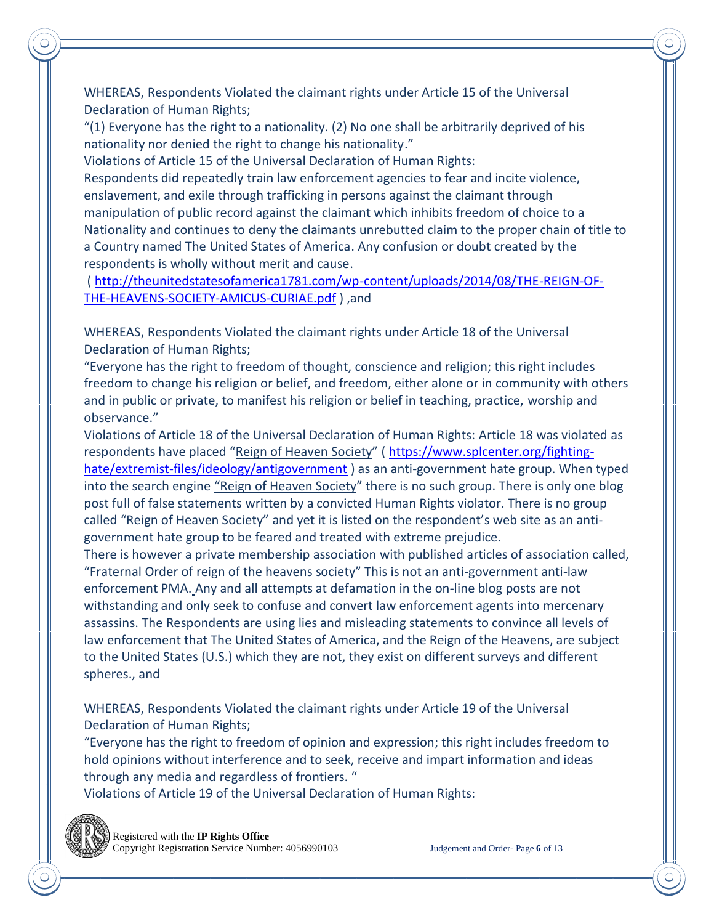WHEREAS, Respondents Violated the claimant rights under Article 15 of the Universal Declaration of Human Rights;

"(1) Everyone has the right to a nationality. (2) No one shall be arbitrarily deprived of his nationality nor denied the right to change his nationality."

Violations of Article 15 of the Universal Declaration of Human Rights:

Respondents did repeatedly train law enforcement agencies to fear and incite violence, enslavement, and exile through trafficking in persons against the claimant through manipulation of public record against the claimant which inhibits freedom of choice to a Nationality and continues to deny the claimants unrebutted claim to the proper chain of title to a Country named The United States of America. Any confusion or doubt created by the respondents is wholly without merit and cause.

( [http://theunitedstatesofamerica1781.com/wp-content/uploads/2014/08/THE-REIGN-OF-](http://theunitedstatesofamerica1781.com/wp-content/uploads/2014/08/THE-REIGN-OF-THE-HEAVENS-SOCIETY-AMICUS-CURIAE.pdf)[THE-HEAVENS-SOCIETY-AMICUS-CURIAE.pdf](http://theunitedstatesofamerica1781.com/wp-content/uploads/2014/08/THE-REIGN-OF-THE-HEAVENS-SOCIETY-AMICUS-CURIAE.pdf) ) ,and

WHEREAS, Respondents Violated the claimant rights under Article 18 of the Universal Declaration of Human Rights;

"Everyone has the right to freedom of thought, conscience and religion; this right includes freedom to change his religion or belief, and freedom, either alone or in community with others and in public or private, to manifest his religion or belief in teaching, practice, worship and observance."

Violations of Article 18 of the Universal Declaration of Human Rights: Article 18 was violated as respondents have placed "Reign of Heaven Society" ( [https://www.splcenter.org/fighting](https://www.splcenter.org/fighting-hate/extremist-files/ideology/antigovernment)[hate/extremist-files/ideology/antigovernment](https://www.splcenter.org/fighting-hate/extremist-files/ideology/antigovernment) ) as an anti-government hate group. When typed into the search engine "Reign of Heaven Society" there is no such group. There is only one blog post full of false statements written by a convicted Human Rights violator. There is no group called "Reign of Heaven Society" and yet it is listed on the respondent's web site as an antigovernment hate group to be feared and treated with extreme prejudice.

There is however a private membership association with published articles of association called, "Fraternal Order of reign of the heavens society" This is not an anti-government anti-law enforcement PMA. Any and all attempts at defamation in the on-line blog posts are not withstanding and only seek to confuse and convert law enforcement agents into mercenary assassins. The Respondents are using lies and misleading statements to convince all levels of law enforcement that The United States of America, and the Reign of the Heavens, are subject to the United States (U.S.) which they are not, they exist on different surveys and different spheres., and

WHEREAS, Respondents Violated the claimant rights under Article 19 of the Universal Declaration of Human Rights;

"Everyone has the right to freedom of opinion and expression; this right includes freedom to hold opinions without interference and to seek, receive and impart information and ideas through any media and regardless of frontiers. "

Violations of Article 19 of the Universal Declaration of Human Rights:

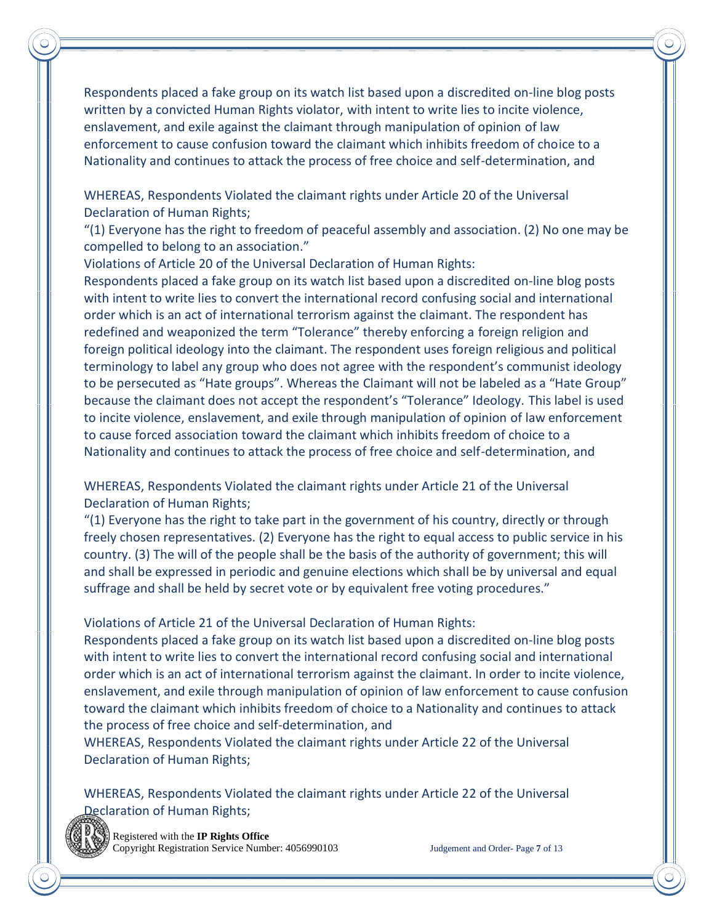Respondents placed a fake group on its watch list based upon a discredited on-line blog posts written by a convicted Human Rights violator, with intent to write lies to incite violence, enslavement, and exile against the claimant through manipulation of opinion of law enforcement to cause confusion toward the claimant which inhibits freedom of choice to a Nationality and continues to attack the process of free choice and self-determination, and

WHEREAS, Respondents Violated the claimant rights under Article 20 of the Universal Declaration of Human Rights;

"(1) Everyone has the right to freedom of peaceful assembly and association. (2) No one may be compelled to belong to an association."

Violations of Article 20 of the Universal Declaration of Human Rights:

Respondents placed a fake group on its watch list based upon a discredited on-line blog posts with intent to write lies to convert the international record confusing social and international order which is an act of international terrorism against the claimant. The respondent has redefined and weaponized the term "Tolerance" thereby enforcing a foreign religion and foreign political ideology into the claimant. The respondent uses foreign religious and political terminology to label any group who does not agree with the respondent's communist ideology to be persecuted as "Hate groups". Whereas the Claimant will not be labeled as a "Hate Group" because the claimant does not accept the respondent's "Tolerance" Ideology. This label is used to incite violence, enslavement, and exile through manipulation of opinion of law enforcement to cause forced association toward the claimant which inhibits freedom of choice to a Nationality and continues to attack the process of free choice and self-determination, and

WHEREAS, Respondents Violated the claimant rights under Article 21 of the Universal Declaration of Human Rights;

"(1) Everyone has the right to take part in the government of his country, directly or through freely chosen representatives. (2) Everyone has the right to equal access to public service in his country. (3) The will of the people shall be the basis of the authority of government; this will and shall be expressed in periodic and genuine elections which shall be by universal and equal suffrage and shall be held by secret vote or by equivalent free voting procedures."

Violations of Article 21 of the Universal Declaration of Human Rights:

Respondents placed a fake group on its watch list based upon a discredited on-line blog posts with intent to write lies to convert the international record confusing social and international order which is an act of international terrorism against the claimant. In order to incite violence, enslavement, and exile through manipulation of opinion of law enforcement to cause confusion toward the claimant which inhibits freedom of choice to a Nationality and continues to attack the process of free choice and self-determination, and

WHEREAS, Respondents Violated the claimant rights under Article 22 of the Universal Declaration of Human Rights;

WHEREAS, Respondents Violated the claimant rights under Article 22 of the Universal Declaration of Human Rights;

 Registered with the **IP Rights Office** Copyright Registration Service Number: 4056990103 Judgement and Order- Page **7** of 13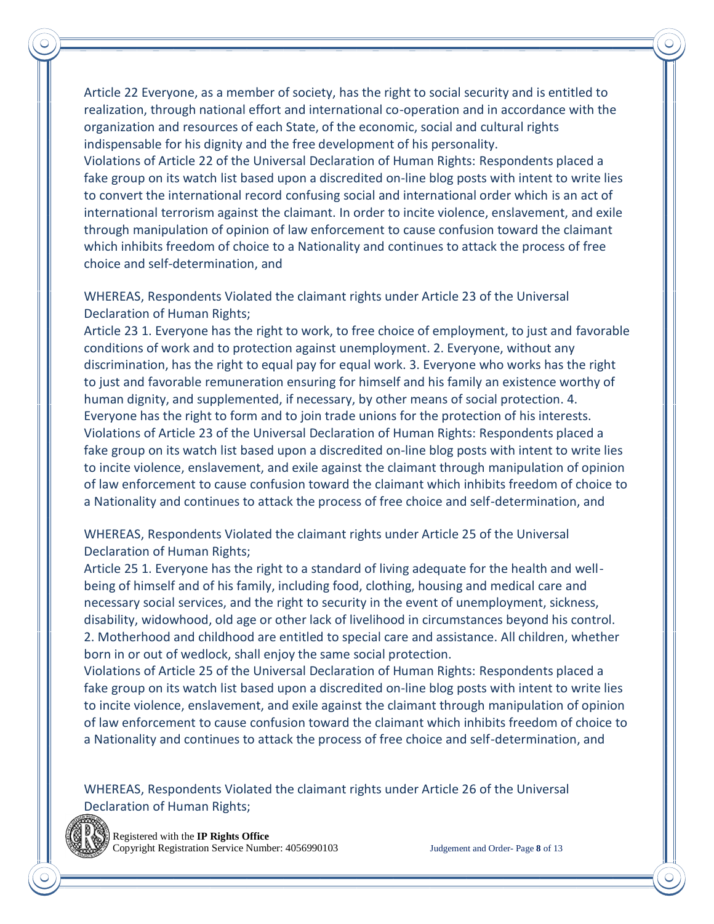Article 22 Everyone, as a member of society, has the right to social security and is entitled to realization, through national effort and international co-operation and in accordance with the organization and resources of each State, of the economic, social and cultural rights indispensable for his dignity and the free development of his personality. Violations of Article 22 of the Universal Declaration of Human Rights: Respondents placed a fake group on its watch list based upon a discredited on-line blog posts with intent to write lies to convert the international record confusing social and international order which is an act of international terrorism against the claimant. In order to incite violence, enslavement, and exile through manipulation of opinion of law enforcement to cause confusion toward the claimant which inhibits freedom of choice to a Nationality and continues to attack the process of free

WHEREAS, Respondents Violated the claimant rights under Article 23 of the Universal Declaration of Human Rights;

Article 23 1. Everyone has the right to work, to free choice of employment, to just and favorable conditions of work and to protection against unemployment. 2. Everyone, without any discrimination, has the right to equal pay for equal work. 3. Everyone who works has the right to just and favorable remuneration ensuring for himself and his family an existence worthy of human dignity, and supplemented, if necessary, by other means of social protection. 4. Everyone has the right to form and to join trade unions for the protection of his interests. Violations of Article 23 of the Universal Declaration of Human Rights: Respondents placed a fake group on its watch list based upon a discredited on-line blog posts with intent to write lies to incite violence, enslavement, and exile against the claimant through manipulation of opinion of law enforcement to cause confusion toward the claimant which inhibits freedom of choice to a Nationality and continues to attack the process of free choice and self-determination, and

WHEREAS, Respondents Violated the claimant rights under Article 25 of the Universal Declaration of Human Rights;

Article 25 1. Everyone has the right to a standard of living adequate for the health and wellbeing of himself and of his family, including food, clothing, housing and medical care and necessary social services, and the right to security in the event of unemployment, sickness, disability, widowhood, old age or other lack of livelihood in circumstances beyond his control. 2. Motherhood and childhood are entitled to special care and assistance. All children, whether born in or out of wedlock, shall enjoy the same social protection.

Violations of Article 25 of the Universal Declaration of Human Rights: Respondents placed a fake group on its watch list based upon a discredited on-line blog posts with intent to write lies to incite violence, enslavement, and exile against the claimant through manipulation of opinion of law enforcement to cause confusion toward the claimant which inhibits freedom of choice to a Nationality and continues to attack the process of free choice and self-determination, and

WHEREAS, Respondents Violated the claimant rights under Article 26 of the Universal Declaration of Human Rights;



 Registered with the **IP Rights Office** Copyright Registration Service Number: 4056990103 Judgement and Order- Page **8** of 13

choice and self-determination, and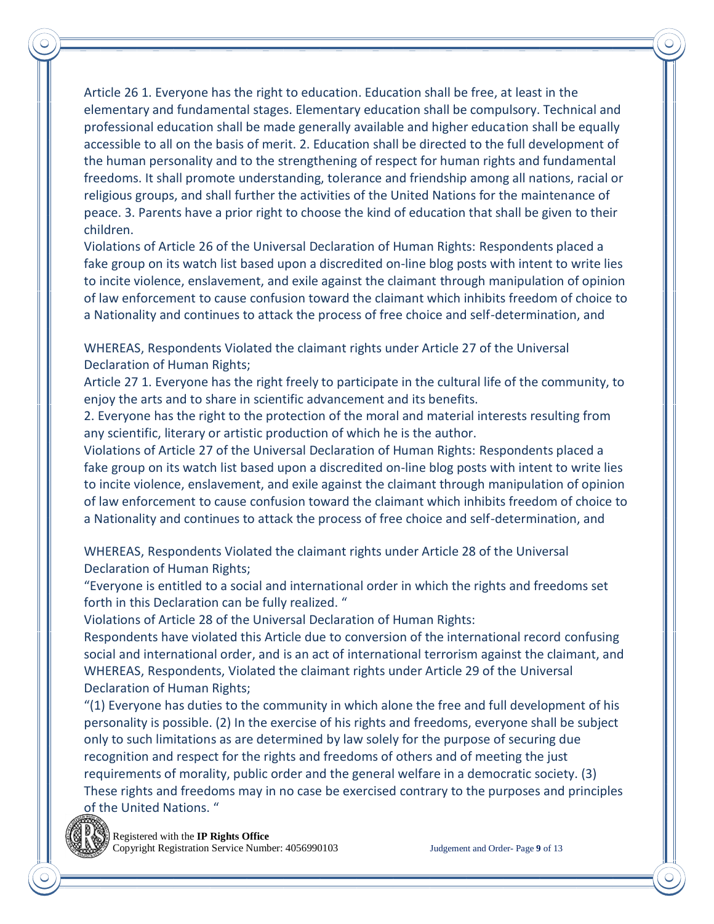Article 26 1. Everyone has the right to education. Education shall be free, at least in the elementary and fundamental stages. Elementary education shall be compulsory. Technical and professional education shall be made generally available and higher education shall be equally accessible to all on the basis of merit. 2. Education shall be directed to the full development of the human personality and to the strengthening of respect for human rights and fundamental freedoms. It shall promote understanding, tolerance and friendship among all nations, racial or religious groups, and shall further the activities of the United Nations for the maintenance of peace. 3. Parents have a prior right to choose the kind of education that shall be given to their children.

Violations of Article 26 of the Universal Declaration of Human Rights: Respondents placed a fake group on its watch list based upon a discredited on-line blog posts with intent to write lies to incite violence, enslavement, and exile against the claimant through manipulation of opinion of law enforcement to cause confusion toward the claimant which inhibits freedom of choice to a Nationality and continues to attack the process of free choice and self-determination, and

WHEREAS, Respondents Violated the claimant rights under Article 27 of the Universal Declaration of Human Rights;

Article 27 1. Everyone has the right freely to participate in the cultural life of the community, to enjoy the arts and to share in scientific advancement and its benefits.

2. Everyone has the right to the protection of the moral and material interests resulting from any scientific, literary or artistic production of which he is the author.

Violations of Article 27 of the Universal Declaration of Human Rights: Respondents placed a fake group on its watch list based upon a discredited on-line blog posts with intent to write lies to incite violence, enslavement, and exile against the claimant through manipulation of opinion of law enforcement to cause confusion toward the claimant which inhibits freedom of choice to a Nationality and continues to attack the process of free choice and self-determination, and

WHEREAS, Respondents Violated the claimant rights under Article 28 of the Universal Declaration of Human Rights;

"Everyone is entitled to a social and international order in which the rights and freedoms set forth in this Declaration can be fully realized. "

Violations of Article 28 of the Universal Declaration of Human Rights:

Respondents have violated this Article due to conversion of the international record confusing social and international order, and is an act of international terrorism against the claimant, and WHEREAS, Respondents, Violated the claimant rights under Article 29 of the Universal Declaration of Human Rights;

"(1) Everyone has duties to the community in which alone the free and full development of his personality is possible. (2) In the exercise of his rights and freedoms, everyone shall be subject only to such limitations as are determined by law solely for the purpose of securing due recognition and respect for the rights and freedoms of others and of meeting the just requirements of morality, public order and the general welfare in a democratic society. (3) These rights and freedoms may in no case be exercised contrary to the purposes and principles of the United Nations. "

 Registered with the **IP Rights Office** Copyright Registration Service Number: 4056990103 Judgement and Order- Page **9** of 13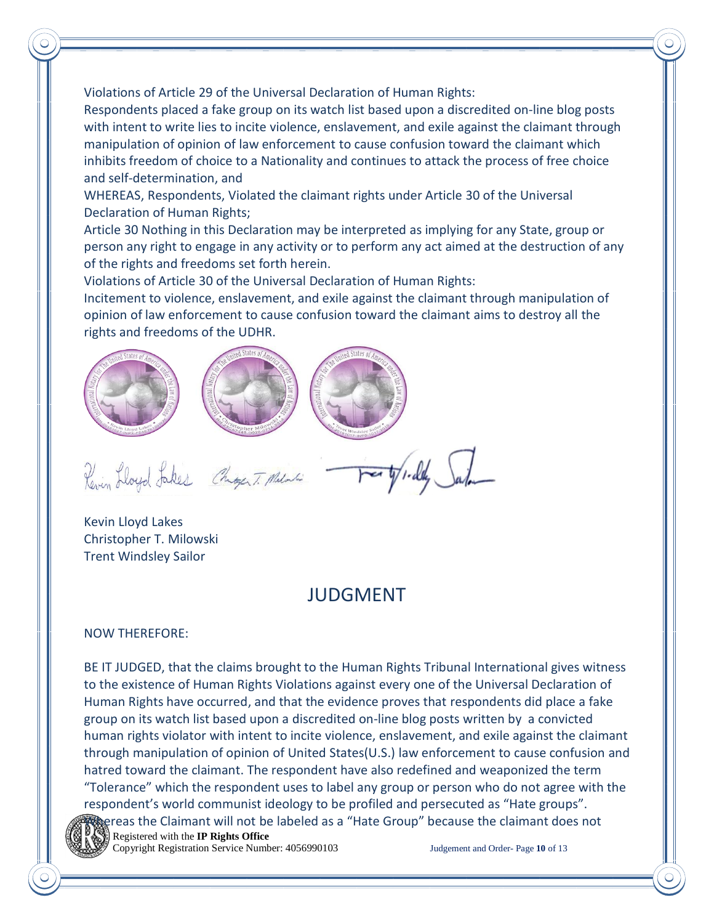Violations of Article 29 of the Universal Declaration of Human Rights:

Respondents placed a fake group on its watch list based upon a discredited on-line blog posts with intent to write lies to incite violence, enslavement, and exile against the claimant through manipulation of opinion of law enforcement to cause confusion toward the claimant which inhibits freedom of choice to a Nationality and continues to attack the process of free choice and self-determination, and

WHEREAS, Respondents, Violated the claimant rights under Article 30 of the Universal Declaration of Human Rights;

Article 30 Nothing in this Declaration may be interpreted as implying for any State, group or person any right to engage in any activity or to perform any act aimed at the destruction of any of the rights and freedoms set forth herein.

Violations of Article 30 of the Universal Declaration of Human Rights:

Incitement to violence, enslavement, and exile against the claimant through manipulation of opinion of law enforcement to cause confusion toward the claimant aims to destroy all the rights and freedoms of the UDHR.



Kevin Lloyd Lakes Christopher T. Milowski Trent Windsley Sailor

### JUDGMENT

NOW THEREFORE:

BE IT JUDGED, that the claims brought to the Human Rights Tribunal International gives witness to the existence of Human Rights Violations against every one of the Universal Declaration of Human Rights have occurred, and that the evidence proves that respondents did place a fake group on its watch list based upon a discredited on-line blog posts written by a convicted human rights violator with intent to incite violence, enslavement, and exile against the claimant through manipulation of opinion of United States(U.S.) law enforcement to cause confusion and hatred toward the claimant. The respondent have also redefined and weaponized the term "Tolerance" which the respondent uses to label any group or person who do not agree with the respondent's world communist ideology to be profiled and persecuted as "Hate groups". Whereas the Claimant will not be labeled as a "Hate Group" because the claimant does not



 Registered with the **IP Rights Office** Copyright Registration Service Number: 4056990103 Judgement and Order- Page **10** of 13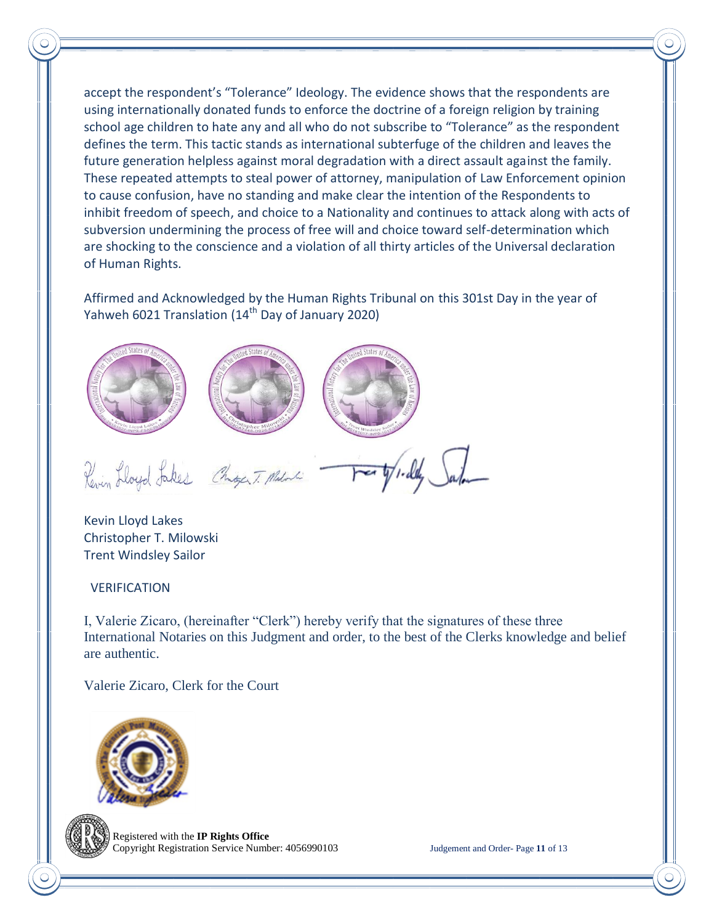accept the respondent's "Tolerance" Ideology. The evidence shows that the respondents are using internationally donated funds to enforce the doctrine of a foreign religion by training school age children to hate any and all who do not subscribe to "Tolerance" as the respondent defines the term. This tactic stands as international subterfuge of the children and leaves the future generation helpless against moral degradation with a direct assault against the family. These repeated attempts to steal power of attorney, manipulation of Law Enforcement opinion to cause confusion, have no standing and make clear the intention of the Respondents to inhibit freedom of speech, and choice to a Nationality and continues to attack along with acts of subversion undermining the process of free will and choice toward self-determination which are shocking to the conscience and a violation of all thirty articles of the Universal declaration of Human Rights.

Affirmed and Acknowledged by the Human Rights Tribunal on this 301st Day in the year of Yahweh 6021 Translation (14<sup>th</sup> Day of January 2020)



Kevin Lloyd Lakes Christopher T. Milowski Trent Windsley Sailor

#### VERIFICATION

I, Valerie Zicaro, (hereinafter "Clerk") hereby verify that the signatures of these three International Notaries on this Judgment and order, to the best of the Clerks knowledge and belief are authentic.

Valerie Zicaro, Clerk for the Court





 Registered with the **IP Rights Office** Copyright Registration Service Number: 4056990103 Judgement and Order- Page **11** of 13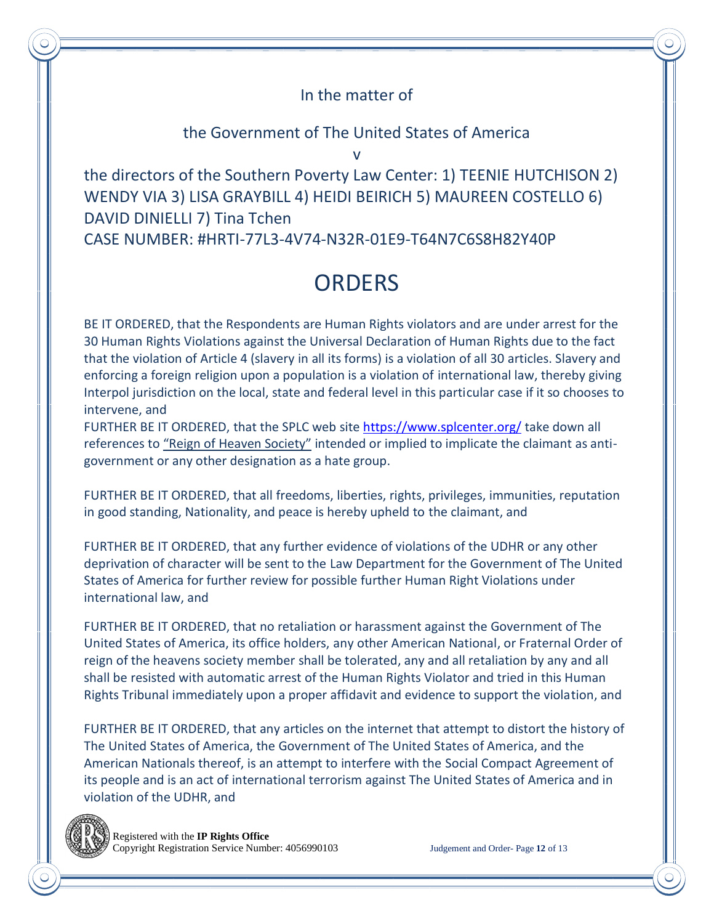### In the matter of

#### the Government of The United States of America

v

the directors of the Southern Poverty Law Center: 1) TEENIE HUTCHISON 2) WENDY VIA 3) LISA GRAYBILL 4) HEIDI BEIRICH 5) MAUREEN COSTELLO 6) DAVID DINIELLI 7) Tina Tchen CASE NUMBER: #HRTI-77L3-4V74-N32R-01E9-T64N7C6S8H82Y40P

# **ORDERS**

BE IT ORDERED, that the Respondents are Human Rights violators and are under arrest for the 30 Human Rights Violations against the Universal Declaration of Human Rights due to the fact that the violation of Article 4 (slavery in all its forms) is a violation of all 30 articles. Slavery and enforcing a foreign religion upon a population is a violation of international law, thereby giving Interpol jurisdiction on the local, state and federal level in this particular case if it so chooses to intervene, and

FURTHER BE IT ORDERED, that the SPLC web site<https://www.splcenter.org/> take down all references to "Reign of Heaven Society" intended or implied to implicate the claimant as antigovernment or any other designation as a hate group.

FURTHER BE IT ORDERED, that all freedoms, liberties, rights, privileges, immunities, reputation in good standing, Nationality, and peace is hereby upheld to the claimant, and

FURTHER BE IT ORDERED, that any further evidence of violations of the UDHR or any other deprivation of character will be sent to the Law Department for the Government of The United States of America for further review for possible further Human Right Violations under international law, and

FURTHER BE IT ORDERED, that no retaliation or harassment against the Government of The United States of America, its office holders, any other American National, or Fraternal Order of reign of the heavens society member shall be tolerated, any and all retaliation by any and all shall be resisted with automatic arrest of the Human Rights Violator and tried in this Human Rights Tribunal immediately upon a proper affidavit and evidence to support the violation, and

FURTHER BE IT ORDERED, that any articles on the internet that attempt to distort the history of The United States of America, the Government of The United States of America, and the American Nationals thereof, is an attempt to interfere with the Social Compact Agreement of its people and is an act of international terrorism against The United States of America and in violation of the UDHR, and

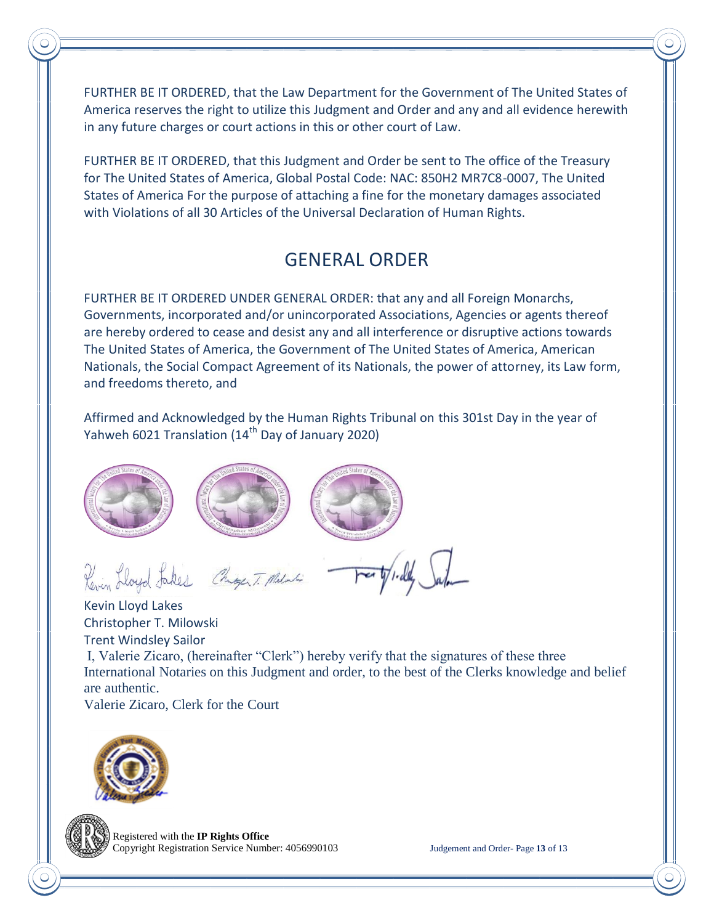FURTHER BE IT ORDERED, that the Law Department for the Government of The United States of America reserves the right to utilize this Judgment and Order and any and all evidence herewith in any future charges or court actions in this or other court of Law.

FURTHER BE IT ORDERED, that this Judgment and Order be sent to The office of the Treasury for The United States of America, Global Postal Code: NAC: 850H2 MR7C8-0007, The United States of America For the purpose of attaching a fine for the monetary damages associated with Violations of all 30 Articles of the Universal Declaration of Human Rights.

## GENERAL ORDER

FURTHER BE IT ORDERED UNDER GENERAL ORDER: that any and all Foreign Monarchs, Governments, incorporated and/or unincorporated Associations, Agencies or agents thereof are hereby ordered to cease and desist any and all interference or disruptive actions towards The United States of America, the Government of The United States of America, American Nationals, the Social Compact Agreement of its Nationals, the power of attorney, its Law form, and freedoms thereto, and

Affirmed and Acknowledged by the Human Rights Tribunal on this 301st Day in the year of Yahweh 6021 Translation ( $14<sup>th</sup>$  Day of January 2020)







Revin Lloyd Jakes Chiger T. Milni

Kevin Lloyd Lakes Christopher T. Milowski Trent Windsley Sailor I, Valerie Zicaro, (hereinafter "Clerk") hereby verify that the signatures of these three International Notaries on this Judgment and order, to the best of the Clerks knowledge and belief are authentic.

Valerie Zicaro, Clerk for the Court



 Registered with the **IP Rights Office** Copyright Registration Service Number: 4056990103 Judgement and Order- Page **13** of 13